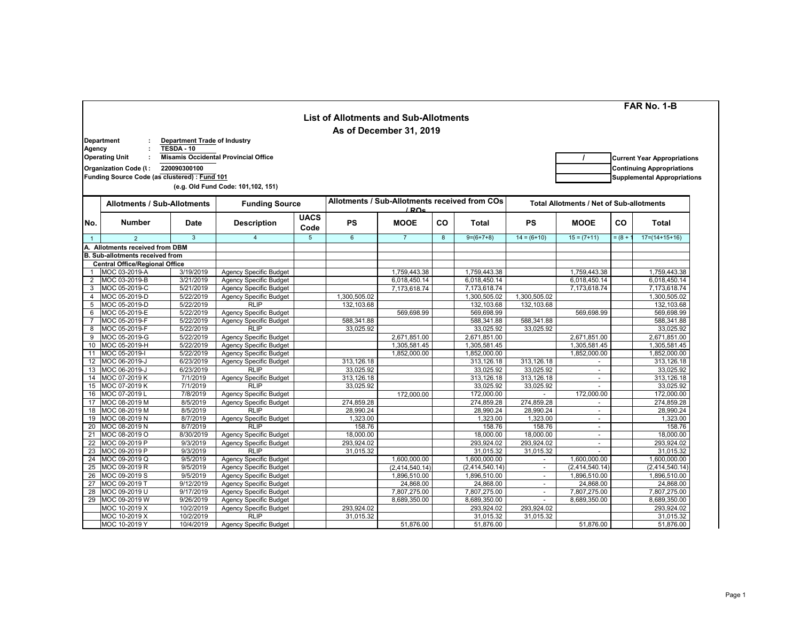|                |                                               |                                     |                                              |                |                                               |                         |                |                                                 |                |                          |          | FAR No. 1-B                        |
|----------------|-----------------------------------------------|-------------------------------------|----------------------------------------------|----------------|-----------------------------------------------|-------------------------|----------------|-------------------------------------------------|----------------|--------------------------|----------|------------------------------------|
|                |                                               |                                     |                                              |                | <b>List of Allotments and Sub-Allotments</b>  |                         |                |                                                 |                |                          |          |                                    |
|                |                                               |                                     |                                              |                |                                               |                         |                |                                                 |                |                          |          |                                    |
|                |                                               |                                     |                                              |                |                                               | As of December 31, 2019 |                |                                                 |                |                          |          |                                    |
|                | <b>Department</b>                             | <b>Department Trade of Industry</b> |                                              |                |                                               |                         |                |                                                 |                |                          |          |                                    |
| Agency         |                                               | TESDA-10                            |                                              |                |                                               |                         |                |                                                 |                |                          |          |                                    |
|                | <b>Operating Unit</b>                         |                                     | <b>Misamis Occidental Provincial Office</b>  |                |                                               |                         |                |                                                 |                |                          |          | <b>Current Year Appropriations</b> |
|                | Organization Code (I:                         | 220090300100                        |                                              |                |                                               |                         |                |                                                 |                |                          |          | <b>Continuing Appropriations</b>   |
|                | Funding Source Code (as clustered) : Fund 101 |                                     |                                              |                |                                               |                         |                |                                                 |                |                          |          | <b>Supplemental Appropriations</b> |
|                |                                               |                                     | (e.g. Old Fund Code: 101,102, 151)           |                |                                               |                         |                |                                                 |                |                          |          |                                    |
|                |                                               |                                     |                                              |                |                                               |                         |                |                                                 |                |                          |          |                                    |
|                | <b>Allotments / Sub-Allotments</b>            |                                     | <b>Funding Source</b>                        |                | Allotments / Sub-Allotments received from COs | $1 \text{R}$            |                | <b>Total Allotments / Net of Sub-allotments</b> |                |                          |          |                                    |
|                |                                               |                                     |                                              | <b>UACS</b>    |                                               |                         |                |                                                 |                |                          |          |                                    |
| No.            | <b>Number</b>                                 | Date                                | <b>Description</b>                           | Code           | <b>PS</b>                                     | <b>MOOE</b>             | CO             | Total                                           | <b>PS</b>      | <b>MOOE</b>              | co       | Total                              |
| $\overline{1}$ | $\overline{2}$                                | 3                                   | $\overline{4}$                               | $\overline{5}$ | 6                                             | $\overline{7}$          | $\overline{8}$ | $9=(6+7+8)$                                     | $14 = (6+10)$  | $15 = (7+11)$            | $= (8 +$ | $17=(14+15+16)$                    |
|                | A. Allotments received from DBM               |                                     |                                              |                |                                               |                         |                |                                                 |                |                          |          |                                    |
|                | B. Sub-allotments received from               |                                     |                                              |                |                                               |                         |                |                                                 |                |                          |          |                                    |
|                | <b>Central Office/Regional Office</b>         |                                     |                                              |                |                                               |                         |                |                                                 |                |                          |          |                                    |
| $\overline{1}$ | MOC 03-2019-A                                 | 3/19/2019                           | <b>Agency Specific Budget</b>                |                |                                               | 1,759,443.38            |                | 1,759,443.38                                    |                | 1,759,443.38             |          | 1,759,443.38                       |
| $\overline{2}$ | MOC 03-2019-B                                 | 3/21/2019                           | Agency Specific Budget                       |                |                                               | 6,018,450.14            |                | 6,018,450.14                                    |                | 6,018,450.14             |          | 6,018,450.14                       |
| 3              | MOC 05-2019-C                                 | 5/21/2019                           | <b>Agency Specific Budget</b>                |                |                                               | 7,173,618.74            |                | 7.173.618.74                                    |                | 7.173.618.74             |          | 7,173,618.74                       |
| $\overline{4}$ | MOC 05-2019-D                                 | 5/22/2019                           | <b>Agency Specific Budget</b>                |                | 1,300,505.02                                  |                         |                | 1,300,505.02                                    | 1,300,505.02   |                          |          | 1,300,505.02                       |
| 5              | MOC 05-2019-D                                 | 5/22/2019                           | <b>RLIP</b>                                  |                | 132,103.68                                    |                         |                | 132,103.68                                      | 132,103.68     |                          |          | 132,103.68                         |
| 6              | MOC 05-2019-E                                 | 5/22/2019                           | <b>Agency Specific Budget</b>                |                |                                               | 569.698.99              |                | 569,698.99                                      |                | 569.698.99               |          | 569,698.99                         |
| $\overline{7}$ | MOC 05-2019-F                                 | 5/22/2019                           | <b>Agency Specific Budget</b>                |                | 588,341.88                                    |                         |                | 588,341.88                                      | 588,341.88     |                          |          | 588,341.88                         |
| 8              | MOC 05-2019-F                                 | 5/22/2019                           | <b>RLIP</b>                                  |                | 33,025.92                                     |                         |                | 33,025.92                                       | 33,025.92      |                          |          | 33,025.92                          |
| 9              | MOC 05-2019-G                                 | 5/22/2019                           | <b>Agency Specific Budget</b>                |                |                                               | 2,671,851.00            |                | 2,671,851.00                                    |                | 2,671,851.00             |          | 2,671,851.00                       |
| 10             | MOC 05-2019-H                                 | 5/22/2019                           | Agency Specific Budget                       |                |                                               | 1,305,581.45            |                | 1,305,581.45                                    |                | 1,305,581.45             |          | 1,305,581.45                       |
| 11             | MOC 05-2019-I                                 | 5/22/2019                           | <b>Agency Specific Budget</b>                |                |                                               | 1,852,000.00            |                | 1,852,000.00                                    |                | 1.852.000.00             |          | 1,852,000.00                       |
| 12             | MOC 06-2019-J                                 | 6/23/2019                           | <b>Agency Specific Budget</b>                |                | 313,126.18                                    |                         |                | 313,126.18                                      | 313,126.18     |                          |          | 313,126.18                         |
| 13             | MOC 06-2019-J                                 | 6/23/2019                           | <b>RLIP</b>                                  |                | 33,025.92                                     |                         |                | 33,025.92                                       | 33,025.92      | $\sim$                   |          | 33,025.92                          |
| 14             | MOC 07-2019 K                                 | 7/1/2019                            | <b>Agency Specific Budget</b>                |                | 313,126.18                                    |                         |                | 313,126.18                                      | 313,126.18     | $\sim$                   |          | 313,126.18                         |
| 15             | MOC 07-2019 K                                 | 7/1/2019                            | <b>RLIP</b>                                  |                | 33,025.92                                     |                         |                | 33,025.92                                       | 33,025.92      |                          |          | 33,025.92                          |
| 16<br>17       | MOC 07-2019 L<br>MOC 08-2019 M                | 7/8/2019<br>8/5/2019                | Agency Specific Budget                       |                | 274.859.28                                    | 172,000.00              |                | 172,000.00<br>274.859.28                        | 274.859.28     | 172,000.00               |          | 172,000.00<br>274.859.28           |
| 18             | MOC 08-2019 M                                 | 8/5/2019                            | <b>Agency Specific Budget</b><br><b>RLIP</b> |                | 28,990.24                                     |                         |                | 28,990.24                                       | 28,990.24      | $\sim$                   |          | 28,990.24                          |
| 19             | MOC 08-2019 N                                 | 8/7/2019                            | <b>Agency Specific Budget</b>                |                | 1,323.00                                      |                         |                | 1,323.00                                        | 1,323.00       | $\omega$                 |          | 1,323.00                           |
| 20             | MOC 08-2019 N                                 | 8/7/2019                            | <b>RLIP</b>                                  |                | 158.76                                        |                         |                | 158.76                                          | 158.76         | $\overline{\phantom{a}}$ |          | 158.76                             |
| 21             | MOC 08-2019 O                                 | 8/30/2019                           | Agency Specific Budget                       |                | 18,000.00                                     |                         |                | 18,000.00                                       | 18,000.00      | $\omega$                 |          | 18,000.00                          |
| 22             | MOC 09-2019 P                                 | 9/3/2019                            | Agency Specific Budget                       |                | 293,924.02                                    |                         |                | 293,924.02                                      | 293,924.02     | $\blacksquare$           |          | 293,924.02                         |
| 23             | MOC 09-2019 P                                 | 9/3/2019                            | <b>RLIP</b>                                  |                | 31,015.32                                     |                         |                | 31,015.32                                       | 31,015.32      |                          |          | 31,015.32                          |
| 24             | MOC 09-2019 Q                                 | 9/5/2019                            | Agency Specific Budget                       |                |                                               | 1,600,000.00            |                | 1,600,000.00                                    |                | 1,600,000.00             |          | 1,600,000.00                       |
| 25             | MOC 09-2019 R                                 | 9/5/2019                            | <b>Agency Specific Budget</b>                |                |                                               | (2,414,540.14)          |                | (2,414,540.14)                                  | $\sim$         | (2,414,540.14)           |          | (2,414,540.14)                     |
| 26             | MOC 09-2019 S                                 | 9/5/2019                            | Agency Specific Budget                       |                |                                               | 1,896,510.00            |                | 1,896,510.00                                    | $\sim$         | 1,896,510.00             |          | 1,896,510.00                       |
| 27             | MOC 09-2019 T                                 | 9/12/2019                           | Agency Specific Budget                       |                |                                               | 24,868.00               |                | 24,868.00                                       | $\blacksquare$ | 24,868.00                |          | 24,868.00                          |
| 28             | MOC 09-2019 U                                 | 9/17/2019                           | <b>Agency Specific Budget</b>                |                |                                               | 7,807,275.00            |                | 7,807,275.00                                    | $\Delta \phi$  | 7,807,275.00             |          | 7,807,275.00                       |
| 29             | MOC 09-2019 W                                 | 9/26/2019                           | Agency Specific Budget                       |                |                                               | 8,689,350.00            |                | 8,689,350.00                                    |                | 8,689,350.00             |          | 8,689,350.00                       |
|                | MOC 10-2019 X                                 | 10/2/2019                           | <b>Agency Specific Budget</b>                |                | 293.924.02                                    |                         |                | 293.924.02                                      | 293.924.02     |                          |          | 293,924.02                         |
|                | MOC 10-2019 X                                 | 10/2/2019                           | <b>RLIP</b>                                  |                | 31,015.32                                     |                         |                | 31,015.32                                       | 31,015.32      |                          |          | 31,015.32                          |
|                | MOC 10-2019 Y                                 | 10/4/2019                           | Agency Specific Budget                       |                |                                               | 51,876.00               |                | 51,876.00                                       |                | 51,876.00                |          | 51,876.00                          |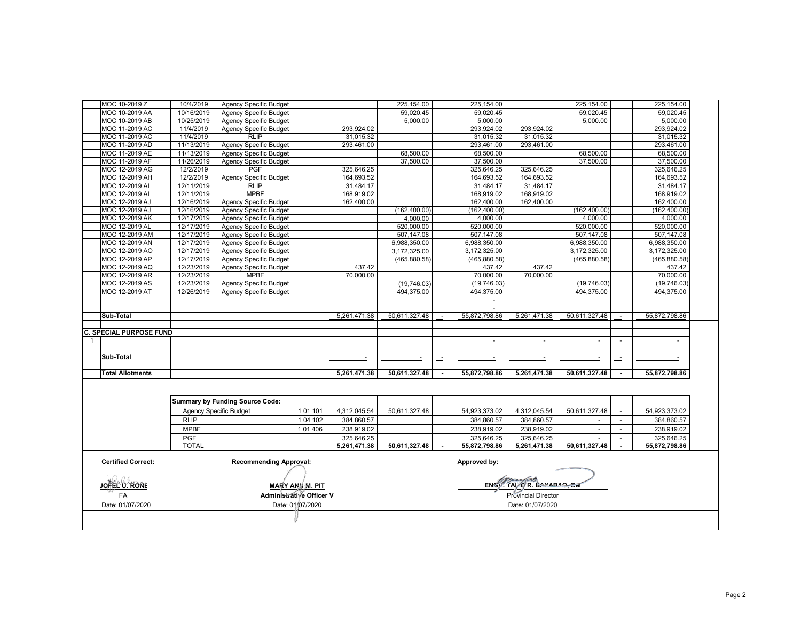| MOC 10-2019 Z             | 10/4/2019   | <b>Agency Specific Budget</b>          |                          |              | 225,154.00    |                          | 225,154.00    |                            | 225,154.00    |                          | 225,154.00    |  |
|---------------------------|-------------|----------------------------------------|--------------------------|--------------|---------------|--------------------------|---------------|----------------------------|---------------|--------------------------|---------------|--|
| MOC 10-2019 AA            | 10/16/2019  | <b>Agency Specific Budget</b>          |                          |              | 59.020.45     |                          | 59.020.45     |                            | 59.020.45     |                          | 59.020.45     |  |
| MOC 10-2019 AB            | 10/25/2019  | <b>Agency Specific Budget</b>          |                          |              | 5,000.00      |                          | 5,000.00      |                            | 5,000.00      |                          | 5,000.00      |  |
| MOC 11-2019 AC            | 11/4/2019   | <b>Agency Specific Budget</b>          |                          | 293,924.02   |               |                          | 293,924.02    | 293,924.02                 |               |                          | 293,924.02    |  |
| MOC 11-2019 AC            | 11/4/2019   | <b>RLIP</b>                            |                          | 31,015.32    |               |                          | 31,015.32     | 31,015.32                  |               |                          | 31,015.32     |  |
| MOC 11-2019 AD            | 11/13/2019  | Agency Specific Budget                 |                          | 293,461.00   |               |                          | 293,461.00    | 293,461.00                 |               |                          | 293,461.00    |  |
| MOC 11-2019 AE            | 11/13/2019  | <b>Agency Specific Budget</b>          |                          |              | 68,500.00     |                          | 68,500.00     |                            | 68,500.00     |                          | 68,500.00     |  |
| MOC 11-2019 AF            | 11/26/2019  | Agency Specific Budget                 |                          |              | 37,500.00     |                          | 37,500.00     |                            | 37,500.00     |                          | 37,500.00     |  |
| MOC 12-2019 AG            | 12/2/2019   | PGF                                    |                          | 325,646.25   |               |                          | 325,646.25    | 325,646.25                 |               |                          | 325,646.25    |  |
| MOC 12-2019 AH            | 12/2/2019   | Agency Specific Budget                 |                          | 164,693.52   |               |                          | 164,693.52    | 164,693.52                 |               |                          | 164,693.52    |  |
| MOC 12-2019 AI            | 12/11/2019  | <b>RLIP</b>                            |                          | 31,484.17    |               |                          | 31,484.17     | 31,484.17                  |               |                          | 31,484.17     |  |
| MOC 12-2019 AI            | 12/11/2019  | <b>MPBF</b>                            |                          | 168,919.02   |               |                          | 168,919.02    | 168,919.02                 |               |                          | 168,919.02    |  |
| MOC 12-2019 AJ            | 12/16/2019  | Agency Specific Budget                 |                          | 162,400.00   |               |                          | 162,400.00    | 162,400.00                 |               |                          | 162,400.00    |  |
| MOC 12-2019 AJ            | 12/16/2019  | Agency Specific Budget                 |                          |              | (162, 400.00) |                          | (162, 400.00) |                            | (162, 400.00) |                          | (162, 400.00) |  |
| MOC 12-2019 AK            | 12/17/2019  | Agency Specific Budget                 |                          |              | 4,000.00      |                          | 4,000.00      |                            | 4,000.00      |                          | 4,000.00      |  |
| MOC 12-2019 AL            | 12/17/2019  | <b>Agency Specific Budget</b>          |                          |              | 520,000.00    |                          | 520,000.00    |                            | 520,000.00    |                          | 520,000.00    |  |
| MOC 12-2019 AM            | 12/17/2019  | Agency Specific Budget                 |                          |              | 507,147.08    |                          | 507,147.08    |                            | 507,147.08    |                          | 507,147.08    |  |
| MOC 12-2019 AN            | 12/17/2019  | Agency Specific Budget                 |                          |              | 6,988,350.00  |                          | 6,988,350.00  |                            | 6,988,350.00  |                          | 6,988,350.00  |  |
| MOC 12-2019 AO            | 12/17/2019  | Agency Specific Budget                 |                          |              | 3,172,325.00  |                          | 3,172,325.00  |                            | 3,172,325.00  |                          | 3,172,325.00  |  |
| MOC 12-2019 AP            | 12/17/2019  | Agency Specific Budget                 |                          |              | (465, 880.58) |                          | (465, 880.58) |                            | (465, 880.58) |                          | (465, 880.58) |  |
| MOC 12-2019 AQ            | 12/23/2019  | Agency Specific Budget                 |                          | 437.42       |               |                          | 437.42        | 437.42                     |               |                          | 437.42        |  |
| MOC 12-2019 AR            | 12/23/2019  | <b>MPBF</b>                            |                          | 70,000.00    |               |                          | 70,000.00     | 70,000.00                  |               |                          | 70,000.00     |  |
| MOC 12-2019 AS            | 12/23/2019  | <b>Agency Specific Budget</b>          |                          |              | (19,746.03)   |                          | (19,746.03)   |                            | (19,746.03)   |                          | (19,746.03)   |  |
| MOC 12-2019 AT            | 12/26/2019  | Agency Specific Budget                 |                          |              | 494,375.00    |                          | 494,375.00    |                            | 494,375.00    |                          | 494,375.00    |  |
|                           |             |                                        |                          |              |               |                          |               |                            |               |                          |               |  |
|                           |             |                                        |                          |              |               |                          |               |                            |               |                          |               |  |
| Sub-Total                 |             |                                        |                          | 5.261.471.38 | 50.611.327.48 |                          | 55,872,798.86 | 5.261.471.38               | 50.611.327.48 |                          | 55,872,798.86 |  |
|                           |             |                                        |                          |              |               |                          |               |                            |               |                          |               |  |
| C. SPECIAL PURPOSE FUND   |             |                                        |                          |              |               |                          |               |                            |               |                          |               |  |
|                           |             |                                        |                          |              |               |                          | $\sim$        | $\sim$                     | $\sim$        | $\sim$                   | $\sim$        |  |
| Sub-Total                 |             |                                        |                          |              |               |                          |               |                            |               |                          |               |  |
|                           |             |                                        |                          |              |               |                          |               |                            |               |                          |               |  |
| <b>Total Allotments</b>   |             |                                        |                          | 5,261,471.38 | 50,611,327.48 | $\overline{\phantom{a}}$ | 55,872,798.86 | 5,261,471.38               | 50,611,327.48 | $\overline{a}$           | 55,872,798.86 |  |
|                           |             |                                        |                          |              |               |                          |               |                            |               |                          |               |  |
|                           |             |                                        |                          |              |               |                          |               |                            |               |                          |               |  |
|                           |             |                                        |                          |              |               |                          |               |                            |               |                          |               |  |
|                           |             | <b>Summary by Funding Source Code:</b> |                          |              |               |                          |               |                            |               |                          |               |  |
|                           |             | <b>Agency Specific Budget</b>          | 1 01 101                 | 4,312,045.54 | 50.611.327.48 |                          | 54,923,373.02 | 4,312,045.54               | 50,611,327.48 | $\overline{\phantom{a}}$ | 54,923,373.02 |  |
|                           | <b>RLIP</b> |                                        | 1 04 102                 | 384,860.57   |               |                          | 384,860.57    | 384,860.57                 | $\sim$        | $\sim$                   | 384,860.57    |  |
|                           | <b>MPBF</b> |                                        | 1 01 4 06                | 238,919.02   |               |                          | 238,919.02    | 238,919.02                 | $\sim$        | $\sim$                   | 238,919.02    |  |
|                           | PGF         |                                        |                          | 325.646.25   |               |                          | 325.646.25    | 325.646.25                 |               | $\overline{a}$           | 325.646.25    |  |
|                           | TOTAL       |                                        |                          | 5,261,471.38 | 50,611,327.48 |                          | 55,872,798.86 | 5,261,471.38               | 50,611,327.48 | $\overline{\phantom{a}}$ | 55,872,798.86 |  |
|                           |             |                                        |                          |              |               |                          |               |                            |               |                          |               |  |
|                           |             | <b>Recommending Approval:</b>          |                          |              |               |                          |               | Approved by:               |               |                          |               |  |
| <b>Certified Correct:</b> |             |                                        |                          |              |               |                          |               |                            |               |                          |               |  |
|                           |             |                                        |                          |              |               |                          |               |                            |               |                          |               |  |
|                           |             |                                        |                          |              |               |                          |               | l-br                       |               |                          |               |  |
| JOFEL U. RONE             |             |                                        | MARY ANN M. PIT          |              |               |                          |               | ENSY. TALLE R. BAYABAG, DW |               |                          |               |  |
| <b>FA</b>                 |             |                                        | Administrative Officer V |              |               |                          |               | <b>Provincial Director</b> |               |                          |               |  |
| Date: 01/07/2020          |             |                                        | Date: 01/07/2020         |              |               |                          |               | Date: 01/07/2020           |               |                          |               |  |